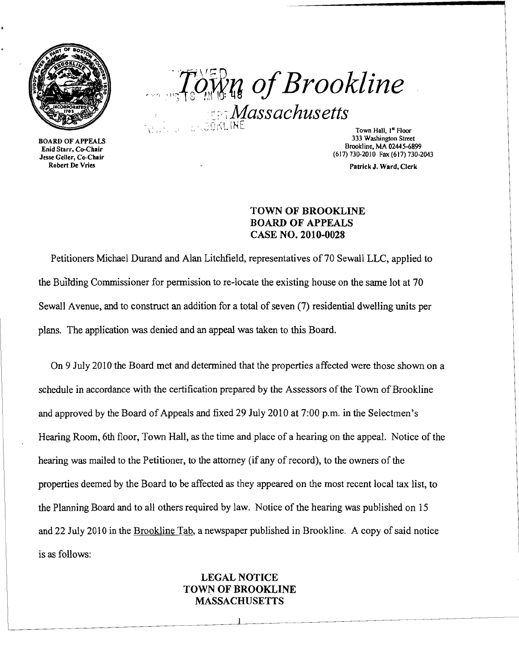

BOARD OF APPEALS Enid Starr, Co-Chair Jesse Geller, Co-Chair Robert De Vries

 $T$ own of Brookline  $\sqrt{M}$ assachusetts

> Town Hall, 1<sup>st</sup> Floor 333 Washington Street Brookline, MA 02445-6899 (617) 730-2010 Fax (617) 730-2043

> > Patrick J. Ward, Clerk

## TOWN OF BROOKLINE BOARD OF APPEALS CASE NO. 2010-0028

Petitioners Michael Durand and Alan Litchfield, representatives of 70 Sewall LLC, applied to the BUIlding Commissioner for permission to re-locate the existing house on the same lot at 70 Sewall Avenue, and to construct an addition for a total of seven (7) residential dwelling units per plans. The application was denied and an appeal was taken to this Board.

On 9 July 2010 the Board met and determined that the properties affected were those shown on a schedule in accordance with the certification prepared by the Assessors of the Town of Brookline and approved by the Board of Appeals and fixed 29 July 2010 at 7:00 p.m. in the Selectmen's Hearing Room, 6th floor, Town Hall, as the time and place of a hearing on the appeal. Notice of the hearing was mailed to the Petitioner, to the attorney (if any of record), to the owners of the properties deemed by the Board to be affected as they appeared on the most recent local tax list, to the Planning Board and to all others required by law. Notice of the hearing was published on 15 and 22 July 2010 in the Brookline Tab, a newspaper published in Brookline. A copy of said notice is as follows:

# LEGAL NOTICE TOWN OF BROOKLINE MASSACHUSETTS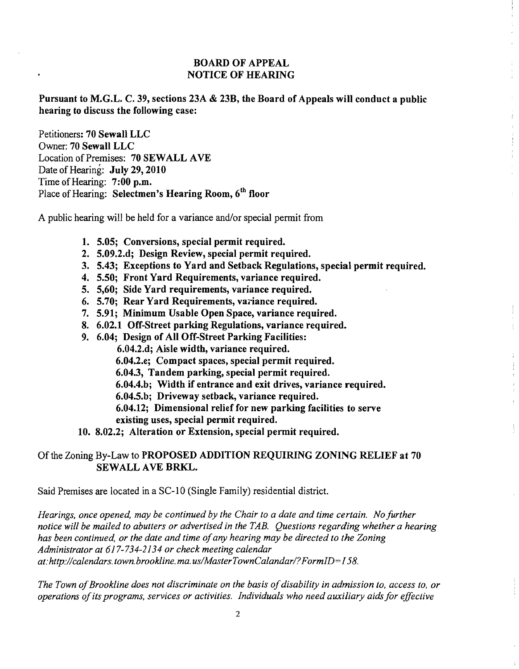## BOARD OF APPEAL NOTICE OF HEARING

 $\bar{z}$ 

 $\frac{1}{2}$ 

Pursuant to M.G.L. C. 39, sections 23A & 23B, the Board of Appeals will conduct a public hearing to discuss the following case:

Petitioners: 70 Sewall LLC Owner: 70 Sewall LLC Location of Premises: 70 SEWALL AVE Date of Hearing: July 29, 2010 Time of Hearing: 7:00 p.m. Place of Hearing: Selectmen's Hearing Room, 6<sup>th</sup> floor

A public hearing will be held for a variance and/or special pennit from

- 1. 5.05; Conversions, special permit required.
- 2. 5.09.2.d; Design Review, special permit required.
- 3. 5.43; Exceptions to Yard and Setback Regulations, special permit required.
- 4. 5.50; Front Yard Requirements, variance required.
- 5. 5,60; Side Yard requirements, variance required.
- 6. 5.70; Rear Yard Requirements, variance required.
- 7. 5.91; Minimum Usable Open Space, variance required.
- 8. 6.02.1 Off-Street parking Regulations, variance required.
- 9. 6.04; Design of All Off-Street Parking Facilities:

6.04.2.d; Aisle width, variance required.

6.04.2.e; Compact spaces, special permit required.

6.04.3, Tandem parking, special permit required.

6.04.4.b; Width if entrance and exit drives, variance required.

- 6.04.5.b; Driveway setback, variance required.
- 6.04.12; Dimensional relief for new parking facilities to serve
- existing uses, special permit required.
- 10. 8.02.2; Alteration or Extension, special permit required.

# Of the Zoning By-Law to PROPOSED ADDITION REQUIRING ZONING RELIEF at 70 SEWALL AVE BRKL.

Said Premises are located in a SC-l 0 (Single Family) residential district.

*Hearings, once opened, may be continued by the Chair to a date and time certain. No further notice will be mailed to abutters or advertised in the TAB. Questions regarding whether a hearing has been continued, or the date and time ofany hearing may be directed to the Zoning Administrator at* 617-734-2134 *or check meeting calendar at:http://calendars.town.brookline.ma.usIMasterTownCalandarl?FormID=I 58.* 

The Town of Brookline does not discriminate on the basis of disability in admission to, access to, or *operations ofits programs, services or activities. Individuals who need auxiliary aids for effective*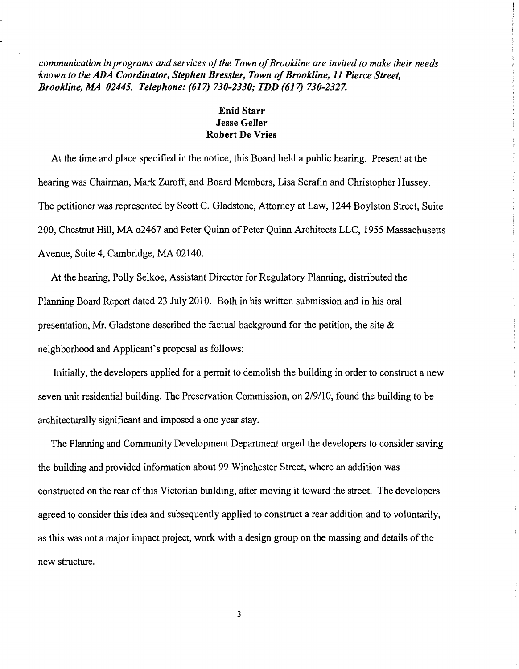*communication in programs and services ojthe Town ojBrookline are invited to make their needs known to the ADA Coordinator, Stephen Bressler, Town of Brookline, 11 Pierce Street, Brookline, MA 02445. Telephone:* (617) *730-2330,· TDD* (617) *730-2327.* 

# Enid Starr Jesse Geller Robert De Vries

At the time and place specified in the notice, this Board held a public hearing. Present at the hearing was Chairman, Mark Zuroff, and Board Members, Lisa Serafin and Christopher Hussey. The petitioner was represented by Scott C. Gladstone, Attorney at Law, 1244 Boylston Street, Suite 200, Chestnut Hill, MA 02467 and Peter Quinn of Peter Quinn Architects LLC, 1955 Massachusetts Avenue, Suite 4, Cambridge, MA 02140.

At the hearing, Polly Selkoe, Assistant Director for Regulatory Planning, distributed the Planning Board Report dated 23 July 2010. Both in his written submission and in his oral presentation, Mr. Gladstone described the factual background for the petition, the site & neighborhood and Applicant's proposal as follows:

Initially, the developers applied for a permit to demolish the building in order to construct a new seven unit residential building. The Preservation Commission, on 2/9/10, found the building to be architecturally significant and imposed a one year stay.

The Planning and Community Development Department urged the developers to consider saving the building and provided information about 99 Winchester Street, where an addition was constructed on the rear of this Victorian building, after moving it toward the street. The developers agreed to consider this idea and subsequently applied to construct a rear addition and to voluntarily, as this was not a major impact project, work with a design group on the massing and details of the new structure.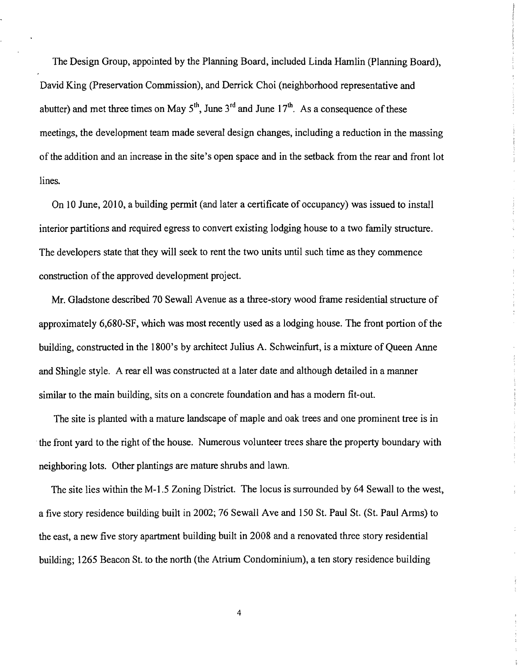The Design Group, appointed by the Planning Board, included Linda Hamlin (Planning Board), David King (Preservation Commission), and Derrick Choi (neighborhood representative and abutter) and met three times on May  $5<sup>th</sup>$ , June  $3<sup>rd</sup>$  and June  $17<sup>th</sup>$ . As a consequence of these meetings, the development team made several design changes, including a reduction in the massing of the addition and an increase in the site's open space and in the setback from the rear and front lot lines.

On 10 June, 2010, a building permit (and later a certificate of occupancy) was issued to install interior partitions and required egress to convert existing lodging house to a two family structure. The developers state that they will seek to rent the two units until such time as they commence construction of the approved development project.

Mr. Gladstone described 70 Sewall Avenue as a three-story wood frame residential structure of approximately 6,680-SF, which was most recently used as a lodging house. The front portion of the building, constructed in the 1800's by architect Julius A. Schweinfurt, is a mixture of Queen Anne and Shingle style. A rear ell was constructed at a later date and although detailed in a manner similar to the main building, sits on a concrete foundation and has a modern fit-out.

The site is planted with a mature landscape of maple and oak trees and one prominent tree is in the front yard to the right of the house. Numerous volunteer trees share the property boundary with neighboring lots. Other plantings are mature shrubs and lawn.

The site lies within the M-l.5 Zoning District. The locus is surrounded by 64 Sewall to the west, a five story residence building built in 2002; 76 Sewall Ave and 150 St. Paul St. (St. Paul Arms) to the east, a new five story apartment building built in 2008 and a renovated three story residential building; 1265 Beacon St. to the north (the Atrium Condominium), a ten story residence building

4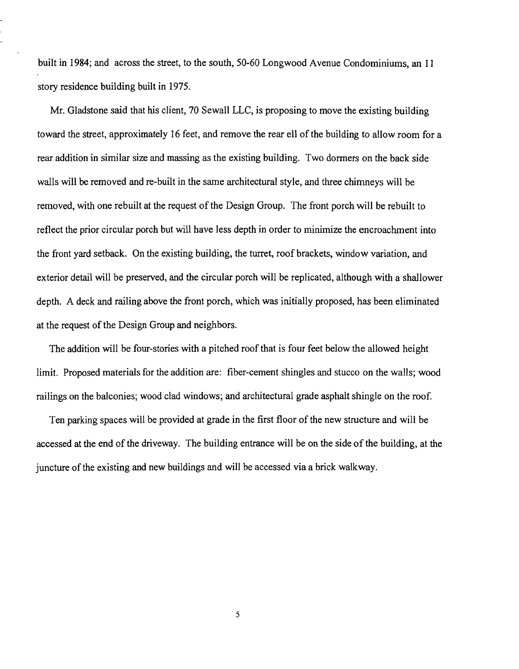built in 1984; and across the street, to the south, 50-60 Longwood Avenue Condominiums, an 11 story residence building built in 1975.

Mr. Gladstone said that his client, 70 Sewall LLC, is proposing to move the existing building toward the street, approximately 16 feet, and remove the rear ell of the building to allow room for a rear addition in similar size and massing as the existing building. Two dormers on the back side walls will be removed and re-built in the same architectural style, and three chimneys will be removed, with one rebuilt at the request of the Design Group. The front porch will be rebuilt to reflect the prior circular porch but will have less depth in order to minimize the encroachment into the front yard setback. On the existing building, the turret, roof brackets, window variation, and exterior detail will be preserved, and the circular porch will be replicated, although with a shallower depth. A deck and railing above the front porch, which was initially proposed, has been eliminated at the request of the Design Group and neighbors.

The addition will be four-stories with a pitched roof that is four feet below the allowed height limit. Proposed materials for the addition are: fiber-cement shingles and stucco on the walls; wood railings on the balconies; wood clad windows; and architectural grade asphalt shingle on the roof.

Ten parking spaces will be provided at grade in the first floor of the new structure and will be accessed at the end of the driveway. The building entrance will be on the side of the building, at the juncture of the existing and new buildings and will be accessed via a brick walkway.

5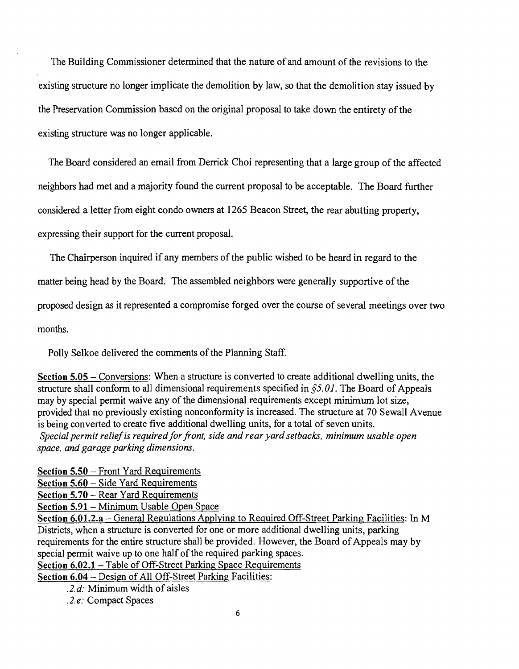The Building Commissioner determined that the nature of and amount of the revisions to the existing structure no longer implicate the demolition by law, so that the demolition stay issued by the Preservation Commission based on the original proposal to take down the entirety of the existing structure was no longer applicable.

The Board considered an email from Derrick Choi representing that a large group of the affected neighbors had met and a majority found the current proposal to be acceptable. The Board further considered a letter from eight condo owners at 1265 Beacon Street, the rear abutting property,

expressing their support for the current proposal.

The Chairperson inquired if any members of the public wished to be heard in regard to the

matter being head by the Board. The assembled neighbors were generally supportive of the

proposed design as it represented a compromise forged over the course of several meetings over two

months.

Polly Selkoe delivered the comments of the Planning Staff.

Section 5.05 – Conversions: When a structure is converted to create additional dwelling units, the structure shall conform to all dimensional requirements specified in §5. *01.* The Board of Appeals may by special permit waive any of the dimensional requirements except minimum lot size, provided that no previously existing nonconformity is increased. The structure at 70 Sewall Avenue is being converted to create five additional dwelling units, for a total of seven units. *Special permit reliefis requiredforfront, side and rear yard setbacks, minimum usable open space, and garage parking dimensions.* 

Section 5.50 - Front Yard Requirements

Section 5.60 - Side Yard Requirements

Section 5.70 - Rear Yard Requirements

Section 5.91- Minimum Usable Open Space

Section 6.01.2.a – General Regulations Applying to Required Off-Street Parking Facilities: In M Districts, when a structure is converted for one or more additional dwelling units, parking requirements for the entire structure shall be provided. However, the Board of Appeals may by special permit waive up to one half of the required parking spaces.

Section 6.02.1 - Table of Off-Street Parking Space Requirements

Section 6.04 - Design of All Off-Street Parking Facilities:

*.2.d:* Minimum width of aisles

*.2.e:* Compact Spaces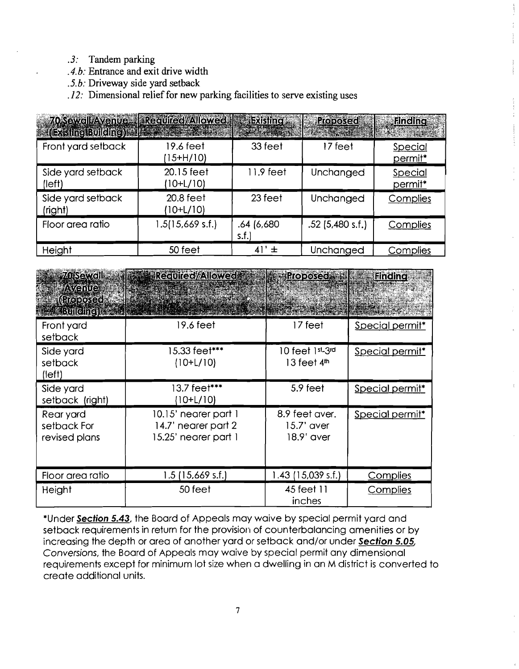- .3: Tandem parking
- *.4. b:* Entrance and exit drive width
- *.5.b:* Driveway side yard setback
- .12: Dimensional relief for new parking facilities to serve existing uses

| <b>E. (Existing Building) All Barrett Company</b> | 70 Sewell/Avenue   Regulied//Allowed   Frashing |                     | <b>Rroposed</b>    | <b>Execution</b>   |
|---------------------------------------------------|-------------------------------------------------|---------------------|--------------------|--------------------|
| Front yard setback                                | 19.6 feet<br>15+H/10)                           | 33 feet             | 17 feet            | Special<br>permit* |
| Side yard setback<br>(left)                       | 20.15 feet<br>10+L/10)                          | 11.9 feet           | Unchanged          | Special<br>permit* |
| Side yard setback<br>(right)                      | $20.8$ feet<br>(10+L/10)                        | 23 feet             | Unchanged          | Complies           |
| Floor area ratio                                  | 1.5(15,669 s.f.)                                | .64 (6,680<br>s.f.] | $.52$ (5.480 s.f.) | Complies           |
| Height                                            | 50 feet                                         | 41'<br>$\pm$        | Unchanged          | Complies           |

| <b>70 Sewoll</b><br><b>Avenue</b><br><u> (ମହାର୍ଚ୍ଚସେପ୍ରି</u><br><b>E Bulleline</b> ) | <b>Provincial/Allowed</b>                                           | <b>Proposed Figure</b>                        | <b>Finding</b>  |
|--------------------------------------------------------------------------------------|---------------------------------------------------------------------|-----------------------------------------------|-----------------|
| Front yard<br>setback                                                                | 19.6 feet                                                           | 17 feet                                       | Special permit* |
| Side yard<br>setback<br>(left)                                                       | 15.33 feet***<br>$(10+L/10)$                                        | 10 feet 1st <sub>-3</sub> rd<br>13 feet $4th$ | Special permit* |
| Side yard<br>setback (right)                                                         | 13.7 feet***<br>(10+L/10)                                           | 5.9 feet                                      | Special permit* |
| Rear yard<br>setback For<br>revised plans                                            | 10.15' nearer part 1<br>14.7' nearer part 2<br>15.25' nearer part 1 | 8.9 feet aver.<br>15.7' aver<br>18.9' aver    | Special permit* |
| Floor area ratio                                                                     | $1.5$ (15,669 s.f.)                                                 | 1.43 (15,039 s.f.)                            | Complies        |
| Height                                                                               | 50 feet                                                             | 45 feet 11<br>inches                          | <b>Complies</b> |

\*Under **Section** 5.43, the Board of Appeals may waive by special permit yard and setback requirements in return for the provision of counterbalancing amenities or by increasing the depth or area of another yard or setback and/or under **Section** *5.05, Conversions,* the Board of Appeals may waive by special permit any dimensional requirements except for minimum lot size when a dwelling in an M district is converted to create additional units.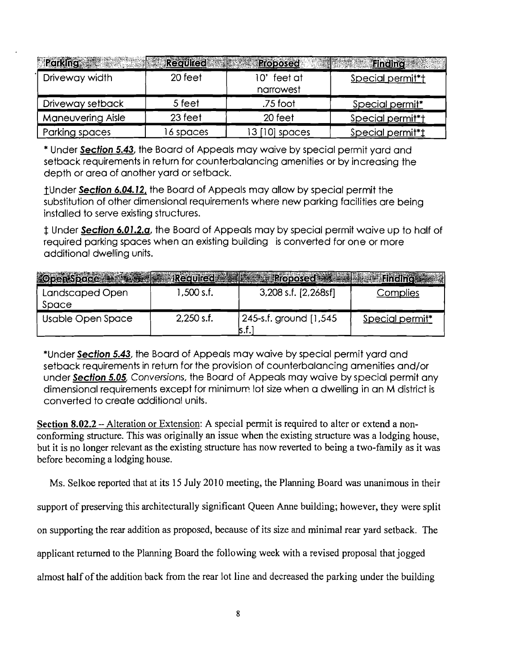| <b>Parking</b>    | <b>Regulied:</b> | <b>Roposed</b>           | <b>Eincing</b>   |
|-------------------|------------------|--------------------------|------------------|
| Driveway width    | 20 feet          | 10' feet at<br>narrowest | Special permit*t |
| Driveway setback  | 5 feet           | .75 foot                 | Special permit*  |
| Maneuvering Aisle | 23 feet          | 20 feet                  | Special permit*t |
| Parking spaces    | 16 spaces        | $3$ [10] spaces          | Special permit*t |

\* Under Section 5.43, the Board of Appeals may waive by special permit yard and setback requirements in return for counterbalancing amenities or by increasing the depth or area of another yard or setback.

1Under Section 6.04. J2, the Board of Appeals may allow by special permit the substitution of other dimensional requirements where new parking facilities are being installed to serve existing structures.

t Under Section 6.01.2.a, the Board of Appeals may by special permit waive up to half of required parking spaces when an existing building is converted for one or more additional dwelling units.

| <b>Coen Space</b>        | el A Redured Ball | <b>Example Proposed Familie</b>        |                 |
|--------------------------|-------------------|----------------------------------------|-----------------|
| Landscaped Open<br>Space | 1,500 s.f.        | 3,208 s.f. [2,268sf]                   | Complies        |
| Usable Open Space        | $2,250$ s.f.      | 1,545 [1,545] 245-s.f. ground<br>ls.t. | Special permit* |

\*Under Section 5.43, the Board of Appeals may waive by special permit yard and setback requirements in return for the provision of counterbalancing amenities and/or under Section 5.05, Conversions, the Board of Appeals may waive by special permit any dimensional requirements except for minimum lot size when a dwelling in an M district is converted to create additional units.

Section 8.02.2 – Alteration or Extension: A special permit is required to alter or extend a nonconforming structure. This was originally an issue when the existing structure was a lodging house, but it is no longer relevant as the existing structure has now reverted to being a two-family as it was before becoming a lodging house.

Ms. Selkoe reported that at its 15 July 2010 meeting, the Planning Board was unanimous in their

support of preserving this architecturally significant Queen Anne building; however, they were split

on supporting the rear addition as proposed, because of its size and minimal rear yard setback. The

applicant returned to the Planning Board the following week with a revised proposal that jogged

almost half of the addition back from the rear lot line and decreased the parking under the building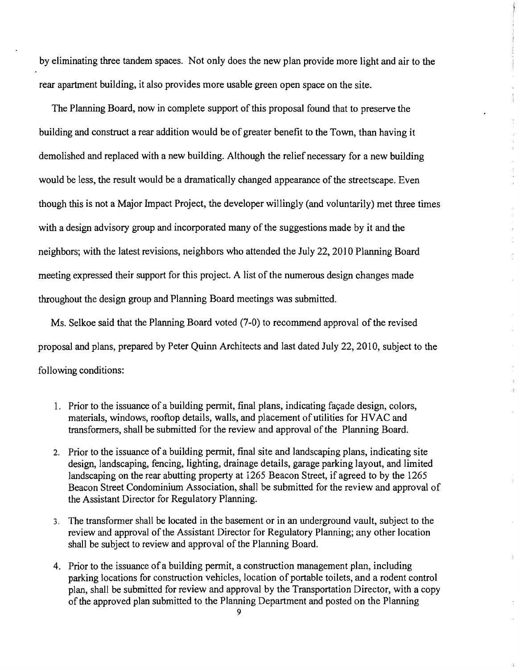by eliminating three tandem spaces. Not only does the new plan provide more light and air to the rear apartment building, it also provides more usable green open space on the site.

The Planning Board, now in complete support of this proposal found that to preserve the building and construct a rear addition would be of greater benefit to the Town, than having it demolished and replaced with a new building. Although the relief necessary for a new building would be less, the result would be a dramatically changed appearance of the streetscape. Even though this is not a Major Impact Project, the developer willingly (and voluntarily) met three times with a design advisory group and incorporated many of the suggestions made by it and the neighbors; with the latest revisions, neighbors who attended the July 22, 2010 Planning Board meeting expressed their support for this project. A list of the numerous design changes made throughout the design group and Planning Board meetings was submitted.

 $\hat{r}$ 

 $\frac{1}{2}$  $\bar{r}$ 

 $\bar{z}$  $\frac{1}{\sqrt{2}}$ 

Ms. Selkoe said that the Planning Board voted (7-0) to recommend approval of the revised proposal and plans, prepared by Peter Quinn Architects and last dated July 22, 2010, subject to the following conditions:

- 1. Prior to the issuance of a building permit, final plans, indicating facade design, colors, materials, windows, rooftop details, walls, and placement of utilities for HVAC and transformers, shall be submitted for the review and approval of the Planning Board.
- 2. Prior to the issuance of a building permit, final site and landscaping plans, indicating site design, landscaping, fencing, lighting, drainage details, garage parking layout, and limited landscaping on the rear abutting property at 1265 Beacon Street, if agreed to by the 1265 Beacon Street Condominium Association, shall be submitted for the review and approval of the Assistant Director for Regulatory Planning.
- 3. The transformer shall be located in the basement or in an underground vault, subject to the review and approval of the Assistant Director for Regulatory Planning; any other location shall be subject to review and approval of the Planning Board.
- 4. Prior to the issuance of a building permit, a construction management plan, including parking locations for construction vehicles, location of portable toilets, and a rodent control plan, shall be submitted for review and approval by the Transportation Director, with a copy of the approved plan submitted to the Planning Department and posted on the Planning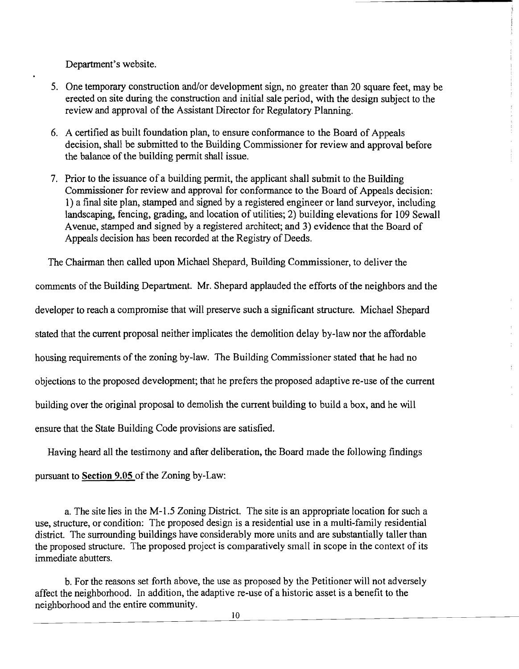Department's website.

- 5. One temporary construction and/or development sign, no greater than 20 square feet, may be erected on site during the construction and initial sale period, with the design subject to the review and approval of the Assistant Director for Regulatory Planning.
- 6. A certified as built foundation plan, to ensure conformance to the Board of Appeals decision, shall be submitted to the Building Commissioner for review and approval before the balance of the building permit shall issue.
- 7. Prior to the issuance of a building permit, the applicant shall submit to the Building Commissioner for review and approval for conformance to the Board of Appeals decision: 1) a final site plan, stamped and signed by a registered engineer or land surveyor, including landscaping, fencing, grading, and location of utilities; 2) building elevations for 109 Sewall Avenue, stamped and signed by a registered architect; and 3) evidence that the Board of Appeals decision has been recorded at the Registry of Deeds.

The Chairman then called upon Michael Shepard, Building Commissioner, to deliver the comments of the Building Department. Mr. Shepard applauded the efforts of the neighbors and the developer to reach a compromise that will preserve such a significant structure. Michael Shepard stated that the current proposal neither implicates the demolition delay by-law nor the affordable housing requirements of the zoning by-law. The Building Commissioner stated that he had no objections to the proposed development; that he prefers the proposed adaptive re-use of the current building over the original proposal to demolish the current building to build a box, and he will ensure that the State Building Code provisions are satisfied.

Having heard all the testimony and after deliberation, the Board made the following findings

pursuant to Section 9.05 of the Zoning by-Law:

a. The site lies in the M-1.5 Zoning District. The site is an appropriate location for such a use, structure, or condition: The proposed design is a residential use in a multi-family residential district. The surrounding buildings have considerably more units and are substantially taller than the proposed structure. The proposed project is comparatively small in scope in the context of its immediate abutters.

b. For the reasons set forth above, the use as proposed by the Petitioner will not adversely affect the neighborhood. In addition, the adaptive re-use of a historic asset is a benefit to the neighborhood and the entire community.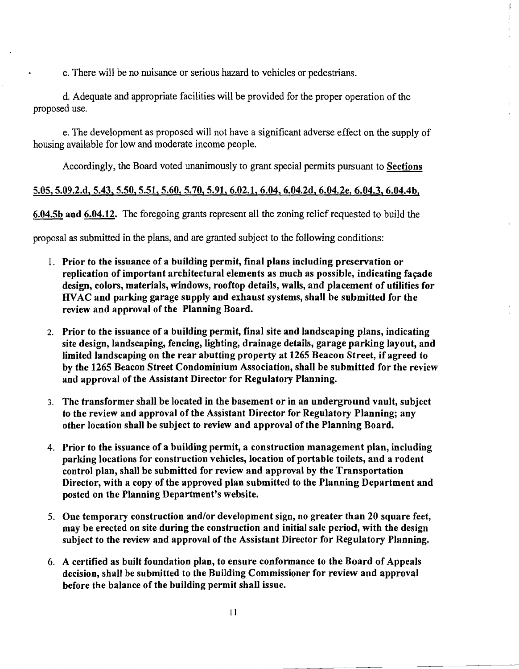c. There will be no nuisance or serious hazard to vehicles or pedestrians.

d. Adequate and appropriate facilities will be provided for the proper operation of the proposed use.

e. The development as proposed will not have a significant adverse effect on the supply of housing available for low and moderate income people.

Accordingly, the Board voted unanimously to grant special permits pursuant to Sections

 $\frac{d}{dt}$ 

#### 5.05, 5.09.2.d, 5.43, 5.50,5.51,5.60, 5.70,5.91,6.02.1, 6.04, 6.04.2d, 6.04.2e, 6.04.3, 6.04.4b,

6.04.5b and 6.04.12. The foregoing grants represent all the zoning relief requested to build the

proposal as submitted in the plans, and are granted subject to the following conditions:

- 1. Prior to the issuance of a building permit, final plans including preservation or replication of important architectural elements as much as possible, indicating façade design, colors, materials, windows, rooftop details, walls, and placement of utilities for HVAC and parking garage supply and exhaust systems, shall be submitted for the review and approval of the Planning Board.
- 2. Prior to the issuance of a building permit, final site and landscaping plans, indicating site design, landscaping, fencing, lighting, drainage details, garage parking layout, and limited landscaping on the rear abutting property at 1265 Beacon Street, if agreed to by the 1265 Beacon Street Condominium Association, shall be submitted for the review and approval of the Assistant Director for Regulatory Planning.
- 3. The transformer shall be located in the basement or in an underground vault, subject to the review and approval of the Assistant Director for Regulatory Planning; any other location shall be subject to review and approval ofthe Planning Board.
- 4. Prior to the issuance of a building permit, a construction management plan, including parking locations for construction vehicles, location of portable toilets, and a rodent control plan, shall be submitted for review and approval by the Transportation Director, with a copy of the approved plan submitted to the Planning Department and posted on the Planning Department's website.
- 5. One temporary construction and/or development sign, no greater than 20 square feet, may be erected on site during the construction and initial sale period, with the design subject to the review and approval of the Assistant Director for Regulatory Planning.
- 6. A certified as built foundation plan, to ensure conformance to the Board of Appeals decision, shall be submitted to the Building Commissioner for review and approval before the balance of the building permit shall issue.